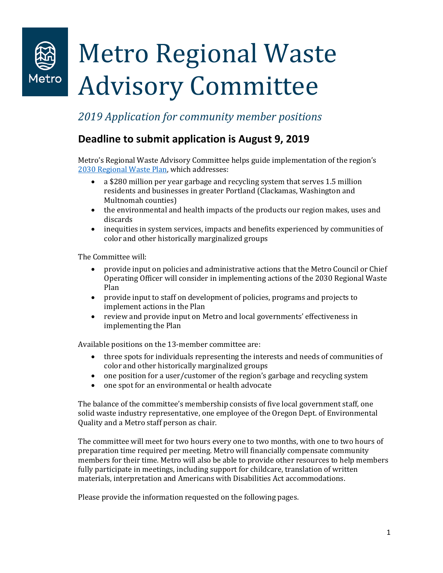

## *2019 Application for community member positions*

### **Deadline to submit application is August 9, 2019**

Metro's Regional Waste Advisory Committee helps guide implementation of the region's [2030 Regional Waste Plan,](https://www.oregonmetro.gov/regional-waste-plan) which addresses:

- a \$280 million per year garbage and recycling system that serves 1.5 million residents and businesses in greater Portland (Clackamas, Washington and Multnomah counties)
- the environmental and health impacts of the products our region makes, uses and discards
- inequities in system services, impacts and benefits experienced by communities of color and other historically marginalized groups

The Committee will:

- provide input on policies and administrative actions that the Metro Council or Chief Operating Officer will consider in implementing actions of the 2030 Regional Waste Plan
- provide input to staff on development of policies, programs and projects to implement actions in the Plan
- review and provide input on Metro and local governments' effectiveness in implementing the Plan

Available positions on the 13-member committee are:

- three spots for individuals representing the interests and needs of communities of color and other historically marginalized groups
- one position for a user/customer of the region's garbage and recycling system
- one spot for an environmental or health advocate

The balance of the committee's membership consists of five local government staff, one solid waste industry representative, one employee of the Oregon Dept. of Environmental Quality and a Metro staff person as chair.

The committee will meet for two hours every one to two months, with one to two hours of preparation time required per meeting. Metro will financially compensate community members for their time. Metro will also be able to provide other resources to help members fully participate in meetings, including support for childcare, translation of written materials, interpretation and Americans with Disabilities Act accommodations.

Please provide the information requested on the following pages.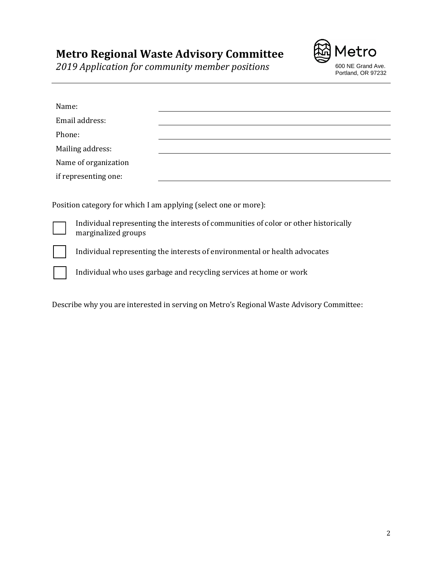etro Portland, OR 97232

*2019 Application for community member positions* **600 NE Grand Ave.** 

| Name:                                                                                                      |  |
|------------------------------------------------------------------------------------------------------------|--|
| Email address:                                                                                             |  |
| Phone:                                                                                                     |  |
| Mailing address:                                                                                           |  |
| Name of organization                                                                                       |  |
| if representing one:                                                                                       |  |
|                                                                                                            |  |
| Position category for which I am applying (select one or more):                                            |  |
| Individual representing the interests of communities of color or other historically<br>marginalized groups |  |

Individual representing the interests of environmental or health advocates

Individual who uses garbage and recycling services at home or work

Describe why you are interested in serving on Metro's Regional Waste Advisory Committee: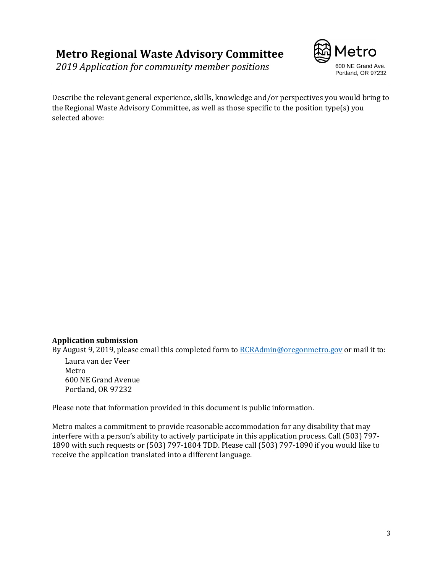**2019 Application for community member positions** 600 NE Grand Ave.



Describe the relevant general experience, skills, knowledge and/or perspectives you would bring to the Regional Waste Advisory Committee, as well as those specific to the position type(s) you selected above:

#### **Application submission**

By August 9, 2019, please email this completed form t[o RCRAdmin@oregonmetro.gov](mailto:RCRAdmin@oregonmetro.gov) or mail it to:

Laura van der Veer Metro 600 NE Grand Avenue Portland, OR 97232

Please note that information provided in this document is public information.

Metro makes a commitment to provide reasonable accommodation for any disability that may interfere with a person's ability to actively participate in this application process. Call (503) 797- 1890 with such requests or (503) 797-1804 TDD. Please call (503) 797-1890 if you would like to receive the application translated into a different language.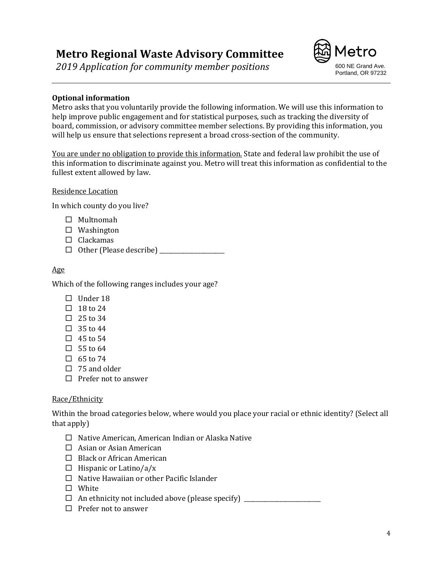*2019 Application for community member positions* 600 NE Grand Ave.



#### **Optional information**

Metro asks that you voluntarily provide the following information. We will use this information to help improve public engagement and for statistical purposes, such as tracking the diversity of board, commission, or advisory committee member selections. By providing this information, you will help us ensure that selections represent a broad cross-section of the community.

You are under no obligation to provide this information. State and federal law prohibit the use of this information to discriminate against you. Metro will treat this information as confidential to the fullest extent allowed by law.

#### Residence Location

In which county do you live?

- □ Multnomah
- $\square$  Washington
- $\Box$  Clackamas
- Other (Please describe) \_\_\_\_\_\_\_\_\_\_\_\_\_\_\_\_\_\_\_\_\_\_

#### Age

Which of the following ranges includes your age?

- $\Box$  Under 18
- $\Box$  18 to 24
- $\Box$  25 to 34
- $\Box$  35 to 44
- $\Box$  45 to 54
- $\Box$  55 to 64
- $\Box$  65 to 74
- $\Box$  75 and older
- $\Box$  Prefer not to answer

#### Race/Ethnicity

Within the broad categories below, where would you place your racial or ethnic identity? (Select all that apply)

- $\Box$  Native American, American Indian or Alaska Native
- $\Box$  Asian or Asian American
- $\Box$  Black or African American
- $\Box$  Hispanic or Latino/a/x
- $\Box$  Native Hawaiian or other Pacific Islander
- □ White
- $\Box$  An ethnicity not included above (please specify)
- $\Box$  Prefer not to answer